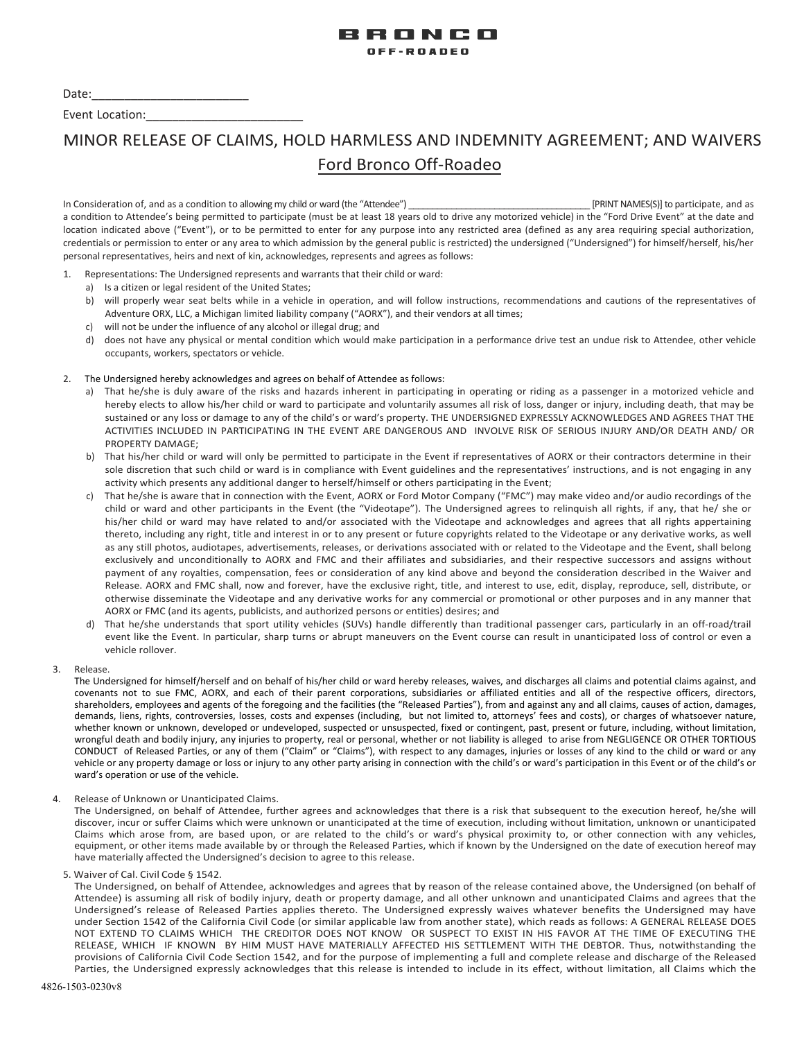

Date:

Event Location:

# MINOR RELEASE OF CLAIMS, HOLD HARMLESS AND INDEMNITY AGREEMENT; AND WAIVERS Ford Bronco Off-Roadeo

In Consideration of, and as a condition to allowing my child or ward (the "Attendee") \_\_\_\_\_\_\_\_\_\_\_\_\_\_\_\_\_\_\_\_\_\_\_\_\_\_\_\_\_\_\_\_\_\_\_\_\_\_ [PRINT NAMES(S)] to participate, and as a condition to Attendee's being permitted to participate (must be at least 18 years old to drive any motorized vehicle) in the "Ford Drive Event" at the date and location indicated above ("Event"), or to be permitted to enter for any purpose into any restricted area (defined as any area requiring special authorization, credentials or permission to enter or any area to which admission by the general public is restricted) the undersigned ("Undersigned") for himself/herself, his/her personal representatives, heirs and next of kin, acknowledges, represents and agrees as follows:

- 1. Representations: The Undersigned represents and warrants that their child or ward:
	- a) Is a citizen or legal resident of the United States;
	- b) will properly wear seat belts while in a vehicle in operation, and will follow instructions, recommendations and cautions of the representatives of Adventure ORX, LLC, a Michigan limited liability company ("AORX"), and their vendors at all times;
	- c) will not be under the influence of any alcohol or illegal drug; and
	- d) does not have any physical or mental condition which would make participation in a performance drive test an undue risk to Attendee, other vehicle occupants, workers, spectators or vehicle.

## 2. The Undersigned hereby acknowledges and agrees on behalf of Attendee as follows:

- a) That he/she is duly aware of the risks and hazards inherent in participating in operating or riding as a passenger in a motorized vehicle and hereby elects to allow his/her child or ward to participate and voluntarily assumes all risk of loss, danger or injury, including death, that may be sustained or any loss or damage to any of the child's or ward's property. THE UNDERSIGNED EXPRESSLY ACKNOWLEDGES AND AGREES THAT THE ACTIVITIES INCLUDED IN PARTICIPATING IN THE EVENT ARE DANGEROUS AND INVOLVE RISK OF SERIOUS INJURY AND/OR DEATH AND/ OR PROPERTY DAMAGE;
- b) That his/her child or ward will only be permitted to participate in the Event if representatives of AORX or their contractors determine in their sole discretion that such child or ward is in compliance with Event guidelines and the representatives' instructions, and is not engaging in any activity which presents any additional danger to herself/himself or others participating in the Event;
- c) That he/she is aware that in connection with the Event, AORX or Ford Motor Company ("FMC") may make video and/or audio recordings of the child or ward and other participants in the Event (the "Videotape"). The Undersigned agrees to relinquish all rights, if any, that he/ she or his/her child or ward may have related to and/or associated with the Videotape and acknowledges and agrees that all rights appertaining thereto, including any right, title and interest in or to any present or future copyrights related to the Videotape or any derivative works, as well as any still photos, audiotapes, advertisements, releases, or derivations associated with or related to the Videotape and the Event, shall belong exclusively and unconditionally to AORX and FMC and their affiliates and subsidiaries, and their respective successors and assigns without payment of any royalties, compensation, fees or consideration of any kind above and beyond the consideration described in the Waiver and Release. AORX and FMC shall, now and forever, have the exclusive right, title, and interest to use, edit, display, reproduce, sell, distribute, or otherwise disseminate the Videotape and any derivative works for any commercial or promotional or other purposes and in any manner that AORX or FMC (and its agents, publicists, and authorized persons or entities) desires; and
- d) That he/she understands that sport utility vehicles (SUVs) handle differently than traditional passenger cars, particularly in an off-road/trail event like the Event. In particular, sharp turns or abrupt maneuvers on the Event course can result in unanticipated loss of control or even a vehicle rollover.
- 3. Release.

The Undersigned for himself/herself and on behalf of his/her child or ward hereby releases, waives, and discharges all claims and potential claims against, and covenants not to sue FMC, AORX, and each of their parent corporations, subsidiaries or affiliated entities and all of the respective officers, directors, shareholders, employees and agents of the foregoing and the facilities (the "Released Parties"), from and against any and all claims, causes of action, damages, demands, liens, rights, controversies, losses, costs and expenses (including, but not limited to, attorneys' fees and costs), or charges of whatsoever nature, whether known or unknown, developed or undeveloped, suspected or unsuspected, fixed or contingent, past, present or future, including, without limitation, wrongful death and bodily injury, any injuries to property, real or personal, whether or not liability is alleged to arise from NEGLIGENCE OR OTHER TORTIOUS CONDUCT of Released Parties, or any of them ("Claim" or "Claims"), with respect to any damages, injuries or losses of any kind to the child or ward or any vehicle or any property damage or loss or injury to any other party arising in connection with the child's or ward's participation in this Event or of the child's or ward's operation or use of the vehicle.

4. Release of Unknown or Unanticipated Claims.

The Undersigned, on behalf of Attendee, further agrees and acknowledges that there is a risk that subsequent to the execution hereof, he/she will discover, incur or suffer Claims which were unknown or unanticipated at the time of execution, including without limitation, unknown or unanticipated Claims which arose from, are based upon, or are related to the child's or ward's physical proximity to, or other connection with any vehicles, equipment, or other items made available by or through the Released Parties, which if known by the Undersigned on the date of execution hereof may have materially affected the Undersigned's decision to agree to this release.

5. Waiver of Cal. Civil Code § 1542.

The Undersigned, on behalf of Attendee, acknowledges and agrees that by reason of the release contained above, the Undersigned (on behalf of Attendee) is assuming all risk of bodily injury, death or property damage, and all other unknown and unanticipated Claims and agrees that the Undersigned's release of Released Parties applies thereto. The Undersigned expressly waives whatever benefits the Undersigned may have under Section 1542 of the California Civil Code (or similar applicable law from another state), which reads as follows: A GENERAL RELEASE DOES NOT EXTEND TO CLAIMS WHICH THE CREDITOR DOES NOT KNOW OR SUSPECT TO EXIST IN HIS FAVOR AT THE TIME OF EXECUTING THE RELEASE, WHICH IF KNOWN BY HIM MUST HAVE MATERIALLY AFFECTED HIS SETTLEMENT WITH THE DEBTOR. Thus, notwithstanding the provisions of California Civil Code Section 1542, and for the purpose of implementing a full and complete release and discharge of the Released Parties, the Undersigned expressly acknowledges that this release is intended to include in its effect, without limitation, all Claims which the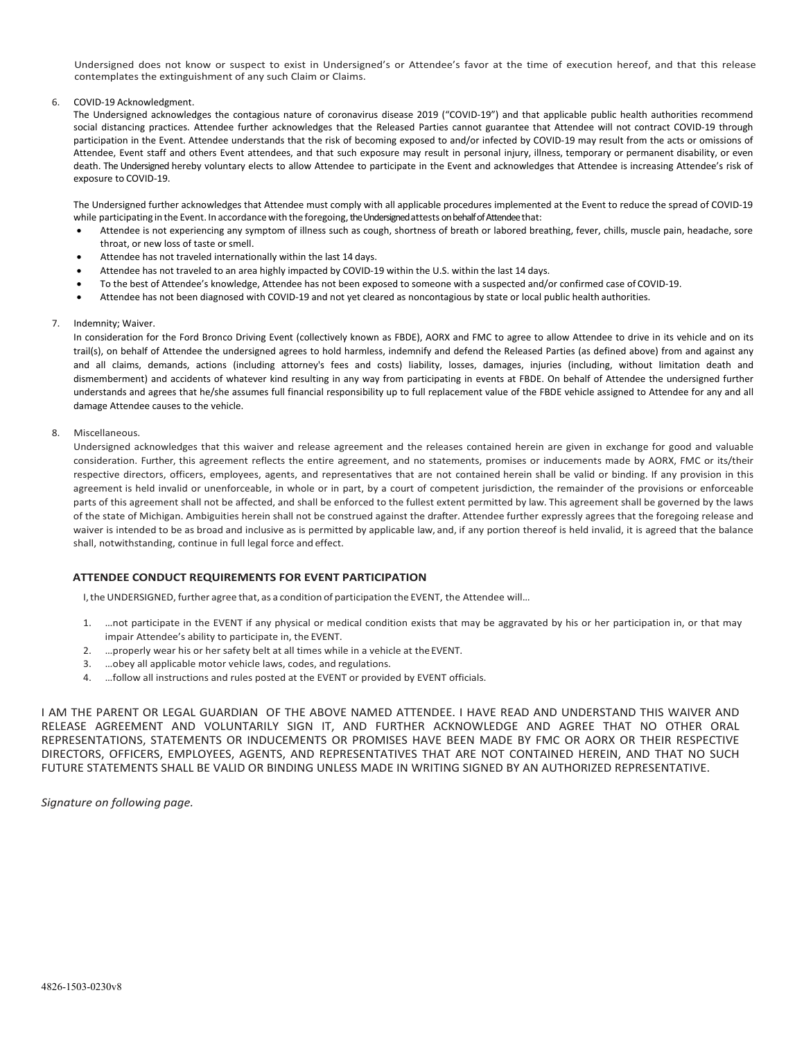Undersigned does not know or suspect to exist in Undersigned's or Attendee's favor at the time of execution hereof, and that this release contemplates the extinguishment of any such Claim or Claims.

#### 6. COVID-19 Acknowledgment.

The Undersigned acknowledges the contagious nature of coronavirus disease 2019 ("COVID-19") and that applicable public health authorities recommend social distancing practices. Attendee further acknowledges that the Released Parties cannot guarantee that Attendee will not contract COVID-19 through participation in the Event. Attendee understands that the risk of becoming exposed to and/or infected by COVID-19 may result from the acts or omissions of Attendee, Event staff and others Event attendees, and that such exposure may result in personal injury, illness, temporary or permanent disability, or even death. The Undersigned hereby voluntary elects to allow Attendee to participate in the Event and acknowledges that Attendee is increasing Attendee's risk of exposure to COVID-19.

The Undersigned further acknowledges that Attendee must comply with all applicable procedures implemented at the Event to reduce the spread of COVID-19 while participating in the Event. In accordance with the foregoing, the Undersigned attests on behalf of Attendee that:

- Attendee is not experiencing any symptom of illness such as cough, shortness of breath or labored breathing, fever, chills, muscle pain, headache, sore throat, or new loss of taste orsmell.
- Attendee has not traveled internationally within the last 14 days.
- Attendee has not traveled to an area highly impacted by COVID-19 within the U.S. within the last 14 days.
- To the best of Attendee's knowledge, Attendee has not been exposed to someone with a suspected and/or confirmed case of COVID-19.
- Attendee has not been diagnosed with COVID-19 and not yet cleared as noncontagious by state or local public health authorities.

## 7. Indemnity; Waiver.

In consideration for the Ford Bronco Driving Event (collectively known as FBDE), AORX and FMC to agree to allow Attendee to drive in its vehicle and on its trail(s), on behalf of Attendee the undersigned agrees to hold harmless, indemnify and defend the Released Parties (as defined above) from and against any and all claims, demands, actions (including attorney's fees and costs) liability, losses, damages, injuries (including, without limitation death and dismemberment) and accidents of whatever kind resulting in any way from participating in events at FBDE. On behalf of Attendee the undersigned further understands and agrees that he/she assumes full financial responsibility up to full replacement value of the FBDE vehicle assigned to Attendee for any and all damage Attendee causes to the vehicle.

#### 8. Miscellaneous.

Undersigned acknowledges that this waiver and release agreement and the releases contained herein are given in exchange for good and valuable consideration. Further, this agreement reflects the entire agreement, and no statements, promises or inducements made by AORX, FMC or its/their respective directors, officers, employees, agents, and representatives that are not contained herein shall be valid or binding. If any provision in this agreement is held invalid or unenforceable, in whole or in part, by a court of competent jurisdiction, the remainder of the provisions or enforceable parts of this agreement shall not be affected, and shall be enforced to the fullest extent permitted by law. This agreement shall be governed by the laws of the state of Michigan. Ambiguities herein shall not be construed against the drafter. Attendee further expressly agrees that the foregoing release and waiver is intended to be as broad and inclusive as is permitted by applicable law, and, if any portion thereof is held invalid, it is agreed that the balance shall, notwithstanding, continue in full legal force and effect.

## **ATTENDEE CONDUCT REQUIREMENTS FOR EVENT PARTICIPATION**

I, the UNDERSIGNED, further agree that, as a condition of participation the EVENT, the Attendee will…

- 1. …not participate in the EVENT if any physical or medical condition exists that may be aggravated by his or her participation in, or that may impair Attendee's ability to participate in, the EVENT.
- 2. …properly wear his or her safety belt at all times while in a vehicle at theEVENT.
- 3. …obey all applicable motor vehicle laws, codes, and regulations.
- 4. …follow all instructions and rules posted at the EVENT or provided by EVENT officials.

I AM THE PARENT OR LEGAL GUARDIAN OF THE ABOVE NAMED ATTENDEE. I HAVE READ AND UNDERSTAND THIS WAIVER AND RELEASE AGREEMENT AND VOLUNTARILY SIGN IT, AND FURTHER ACKNOWLEDGE AND AGREE THAT NO OTHER ORAL REPRESENTATIONS, STATEMENTS OR INDUCEMENTS OR PROMISES HAVE BEEN MADE BY FMC OR AORX OR THEIR RESPECTIVE DIRECTORS, OFFICERS, EMPLOYEES, AGENTS, AND REPRESENTATIVES THAT ARE NOT CONTAINED HEREIN, AND THAT NO SUCH FUTURE STATEMENTS SHALL BE VALID OR BINDING UNLESS MADE IN WRITING SIGNED BY AN AUTHORIZED REPRESENTATIVE.

*Signature on following page.*